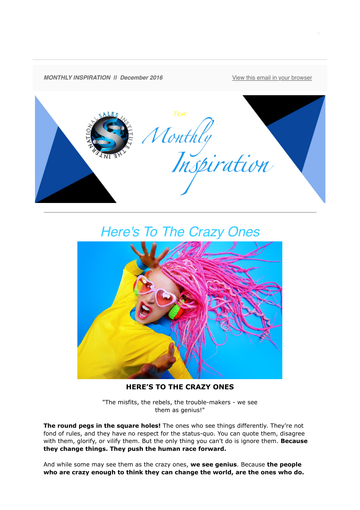

## *Here's To The Crazy Ones*



**HERE'S TO THE CRAZY ONES**

"The misfits, the rebels, the trouble-makers - we see them as genius!"

**The round pegs in the square holes!** The ones who see things differently. They're not fond of rules, and they have no respect for the status-quo. You can quote them, disagree with them, glorify, or vilify them. But the only thing you can't do is ignore them. **Because they change things. They push the human race forward.**

And while some may see them as the crazy ones, **we see genius**. Because **the people who are crazy enough to think they can change the world, are the ones who do.**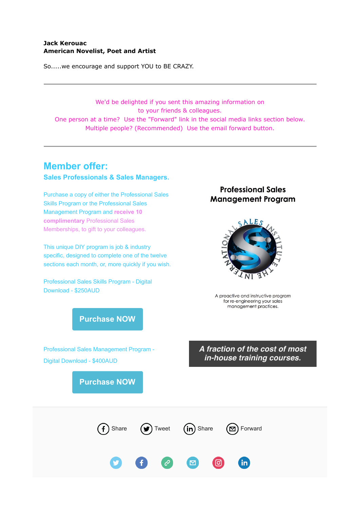## **Jack Kerouac American Novelist, Poet and Artist**

So.....we encourage and support YOU to BE CRAZY.

We'd be delighted if you sent this amazing information on to your friends & colleagues. One person at a time? Use the "Forward" link in the social media links section below. Multiple people? (Recommended) Use the email forward button.

[Share](http://theinternationalsalesinstitute.us11.list-manage2.com/track/click?u=933b80e7a2e18bb216f31e81e&id=b3a202f270&e=dbf1c93ab8)  $(\mathbf{y})$  [Tweet](http://theinternationalsalesinstitute.us11.list-manage.com/track/click?u=933b80e7a2e18bb216f31e81e&id=0821c9e7b9&e=dbf1c93ab8)  $(\mathbf{in})$  Share  $(\mathbf{\emptyset})$  [Forward](http://us11.forward-to-friend.com/forward?u=933b80e7a2e18bb216f31e81e&id=7e0cc43288&e=dbf1c93ab8)

## **Member offer: Sales Professionals & Sales Managers.**

Purchase a copy of either the Professional Sales Skills Program or the Professional Sales Management Program and **receive 10 complimentary** Professional Sales Memberships, to gift to your colleagues.

This unique DIY program is job & industry specific, designed to complete one of the twelve sections each month, or, more quickly if you wish.

Professional Sales Skills Program - Digital Download - \$250AUD

## **Professional Sales Management Program**



A proactive and instructive program for re-engineering your sales management practices.

**[Purchase NOW](http://theinternationalsalesinstitute.us11.list-manage.com/track/click?u=933b80e7a2e18bb216f31e81e&id=0dbf9130f4&e=dbf1c93ab8)**

Professional Sales Management Program - Digital Download - \$400AUD

**[Purchase NOW](http://theinternationalsalesinstitute.us11.list-manage.com/track/click?u=933b80e7a2e18bb216f31e81e&id=9f377d053e&e=dbf1c93ab8)**



in